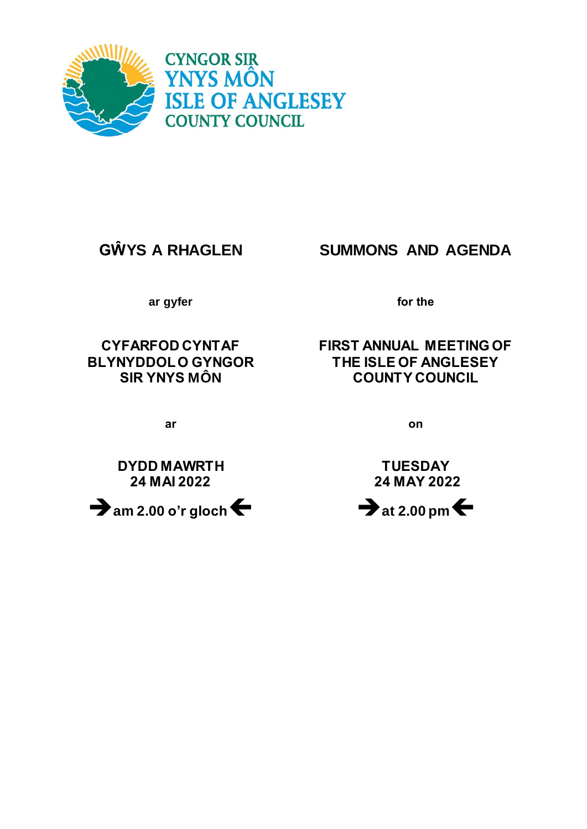

# **GŴYS A RHAGLEN SUMMONS AND AGENDA**

**ar gyfer for the**

**CYFARFOD CYNTAF BLYNYDDOL O GYNGOR SIR YNYS MÔN**

# **FIRST ANNUAL MEETING OF THE ISLE OF ANGLESEY COUNTY COUNCIL**

**ar on**

**DYDD MAWRTH 24 MAI 2022**



**TUESDAY 24 MAY 2022**

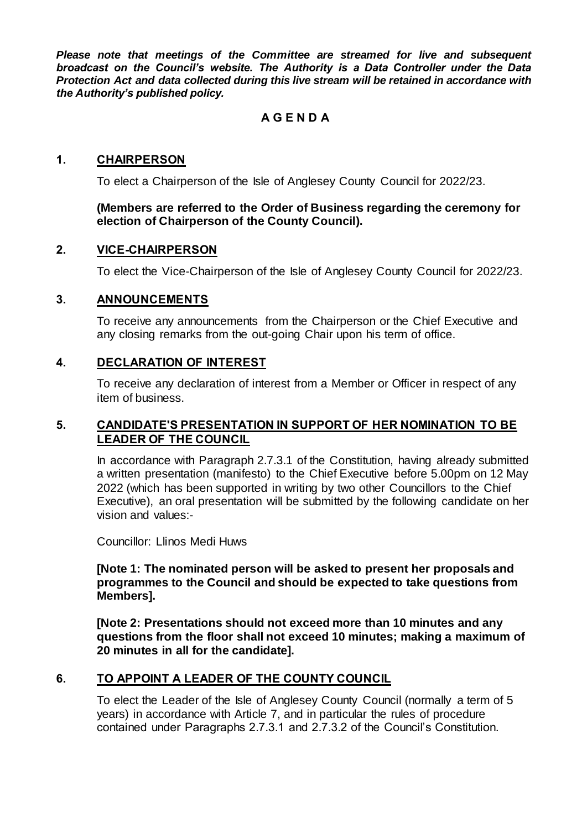*Please note that meetings of the Committee are streamed for live and subsequent broadcast on the Council's website. The Authority is a Data Controller under the Data Protection Act and data collected during this live stream will be retained in accordance with the Authority's published policy.*

# **A G E N D A**

# **1. CHAIRPERSON**

To elect a Chairperson of the Isle of Anglesey County Council for 2022/23.

#### **(Members are referred to the Order of Business regarding the ceremony for election of Chairperson of the County Council).**

#### **2. VICE-CHAIRPERSON**

To elect the Vice-Chairperson of the Isle of Anglesey County Council for 2022/23.

#### **3. ANNOUNCEMENTS**

To receive any announcements from the Chairperson or the Chief Executive and any closing remarks from the out-going Chair upon his term of office.

#### **4. DECLARATION OF INTEREST**

To receive any declaration of interest from a Member or Officer in respect of any item of business.

# **5. CANDIDATE'S PRESENTATION IN SUPPORT OF HER NOMINATION TO BE LEADER OF THE COUNCIL**

In accordance with Paragraph 2.7.3.1 of the Constitution, having already submitted a written presentation (manifesto) to the Chief Executive before 5.00pm on 12 May 2022 (which has been supported in writing by two other Councillors to the Chief Executive), an oral presentation will be submitted by the following candidate on her vision and values:-

Councillor: Llinos Medi Huws

**[Note 1: The nominated person will be asked to present her proposals and programmes to the Council and should be expected to take questions from Members].**

**[Note 2: Presentations should not exceed more than 10 minutes and any questions from the floor shall not exceed 10 minutes; making a maximum of 20 minutes in all for the candidate].**

#### **6. TO APPOINT A LEADER OF THE COUNTY COUNCIL**

To elect the Leader of the Isle of Anglesey County Council (normally a term of 5 years) in accordance with Article 7, and in particular the rules of procedure contained under Paragraphs 2.7.3.1 and 2.7.3.2 of the Council's Constitution.